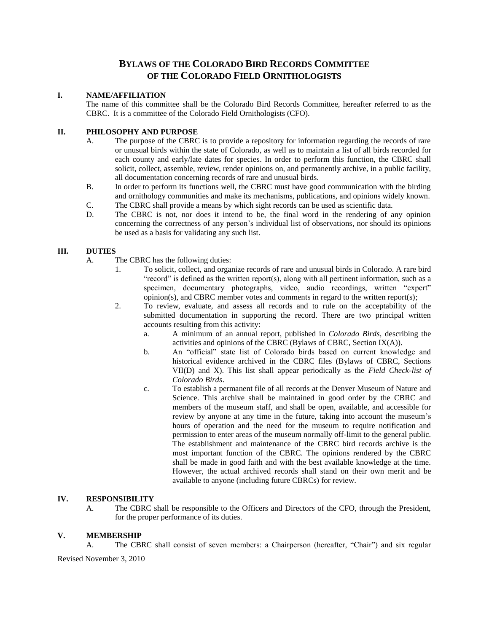# **BYLAWS OF THE COLORADO BIRD RECORDS COMMITTEE OF THE COLORADO FIELD ORNITHOLOGISTS**

#### **I. NAME/AFFILIATION**

The name of this committee shall be the Colorado Bird Records Committee, hereafter referred to as the CBRC. It is a committee of the Colorado Field Ornithologists (CFO).

# **II. PHILOSOPHY AND PURPOSE**

- A. The purpose of the CBRC is to provide a repository for information regarding the records of rare or unusual birds within the state of Colorado, as well as to maintain a list of all birds recorded for each county and early/late dates for species. In order to perform this function, the CBRC shall solicit, collect, assemble, review, render opinions on, and permanently archive, in a public facility, all documentation concerning records of rare and unusual birds.
- B. In order to perform its functions well, the CBRC must have good communication with the birding and ornithology communities and make its mechanisms, publications, and opinions widely known.
- C. The CBRC shall provide a means by which sight records can be used as scientific data.
- D. The CBRC is not, nor does it intend to be, the final word in the rendering of any opinion concerning the correctness of any person's individual list of observations, nor should its opinions be used as a basis for validating any such list.

### **III. DUTIES**

- A. The CBRC has the following duties:
	- 1. To solicit, collect, and organize records of rare and unusual birds in Colorado. A rare bird "record" is defined as the written report(s), along with all pertinent information, such as a specimen, documentary photographs, video, audio recordings, written "expert" opinion(s), and CBRC member votes and comments in regard to the written report(s);
	- 2. To review, evaluate, and assess all records and to rule on the acceptability of the submitted documentation in supporting the record. There are two principal written accounts resulting from this activity:
		- a. A minimum of an annual report, published in *Colorado Birds*, describing the activities and opinions of the CBRC (Bylaws of CBRC, Section IX(A)).
		- b. An "official" state list of Colorado birds based on current knowledge and historical evidence archived in the CBRC files (Bylaws of CBRC, Sections VII(D) and X). This list shall appear periodically as the *Field Check-list of Colorado Birds*.
		- c. To establish a permanent file of all records at the Denver Museum of Nature and Science. This archive shall be maintained in good order by the CBRC and members of the museum staff, and shall be open, available, and accessible for review by anyone at any time in the future, taking into account the museum's hours of operation and the need for the museum to require notification and permission to enter areas of the museum normally off-limit to the general public. The establishment and maintenance of the CBRC bird records archive is the most important function of the CBRC. The opinions rendered by the CBRC shall be made in good faith and with the best available knowledge at the time. However, the actual archived records shall stand on their own merit and be available to anyone (including future CBRCs) for review.

#### **IV. RESPONSIBILITY**

A. The CBRC shall be responsible to the Officers and Directors of the CFO, through the President, for the proper performance of its duties.

#### **V. MEMBERSHIP**

A. The CBRC shall consist of seven members: a Chairperson (hereafter, "Chair") and six regular

Revised November 3, 2010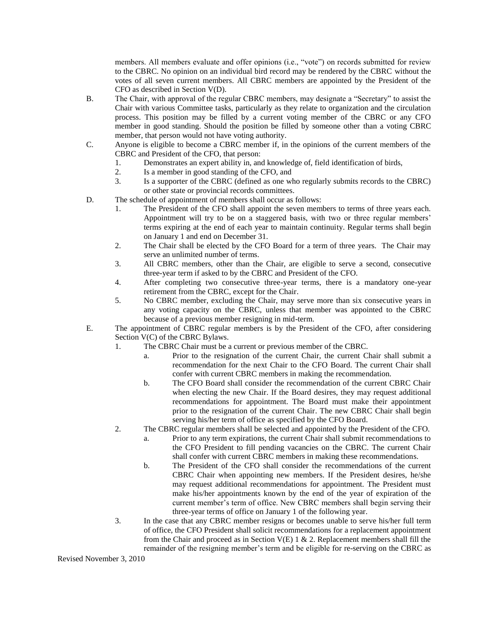members. All members evaluate and offer opinions (i.e., "vote") on records submitted for review to the CBRC. No opinion on an individual bird record may be rendered by the CBRC without the votes of all seven current members. All CBRC members are appointed by the President of the CFO as described in Section V(D).

- B. The Chair, with approval of the regular CBRC members, may designate a "Secretary" to assist the Chair with various Committee tasks, particularly as they relate to organization and the circulation process. This position may be filled by a current voting member of the CBRC or any CFO member in good standing. Should the position be filled by someone other than a voting CBRC member, that person would not have voting authority.
- C. Anyone is eligible to become a CBRC member if, in the opinions of the current members of the CBRC and President of the CFO, that person:
	- 1. Demonstrates an expert ability in, and knowledge of, field identification of birds,
	- 2. Is a member in good standing of the CFO, and<br>3. Is a supporter of the CBRC (defined as one wl
	- Is a supporter of the CBRC (defined as one who regularly submits records to the CBRC) or other state or provincial records committees.
- D. The schedule of appointment of members shall occur as follows:
	- 1. The President of the CFO shall appoint the seven members to terms of three years each. Appointment will try to be on a staggered basis, with two or three regular members' terms expiring at the end of each year to maintain continuity. Regular terms shall begin on January 1 and end on December 31.
	- 2. The Chair shall be elected by the CFO Board for a term of three years. The Chair may serve an unlimited number of terms.
	- 3. All CBRC members, other than the Chair, are eligible to serve a second, consecutive three-year term if asked to by the CBRC and President of the CFO.
	- 4. After completing two consecutive three-year terms, there is a mandatory one-year retirement from the CBRC, except for the Chair.
	- 5. No CBRC member, excluding the Chair, may serve more than six consecutive years in any voting capacity on the CBRC, unless that member was appointed to the CBRC because of a previous member resigning in mid-term.
- E. The appointment of CBRC regular members is by the President of the CFO, after considering Section  $V(C)$  of the CBRC Bylaws.
	- 1. The CBRC Chair must be a current or previous member of the CBRC.
		- a. Prior to the resignation of the current Chair, the current Chair shall submit a recommendation for the next Chair to the CFO Board. The current Chair shall confer with current CBRC members in making the recommendation.
		- b. The CFO Board shall consider the recommendation of the current CBRC Chair when electing the new Chair. If the Board desires, they may request additional recommendations for appointment. The Board must make their appointment prior to the resignation of the current Chair. The new CBRC Chair shall begin serving his/her term of office as specified by the CFO Board.
	- 2. The CBRC regular members shall be selected and appointed by the President of the CFO.
		- a. Prior to any term expirations, the current Chair shall submit recommendations to the CFO President to fill pending vacancies on the CBRC. The current Chair shall confer with current CBRC members in making these recommendations.
		- b. The President of the CFO shall consider the recommendations of the current CBRC Chair when appointing new members. If the President desires, he/she may request additional recommendations for appointment. The President must make his/her appointments known by the end of the year of expiration of the current member's term of office. New CBRC members shall begin serving their three-year terms of office on January 1 of the following year.
	- 3. In the case that any CBRC member resigns or becomes unable to serve his/her full term of office, the CFO President shall solicit recommendations for a replacement appointment from the Chair and proceed as in Section  $V(E)$  1 & 2. Replacement members shall fill the remainder of the resigning member's term and be eligible for re-serving on the CBRC as

Revised November 3, 2010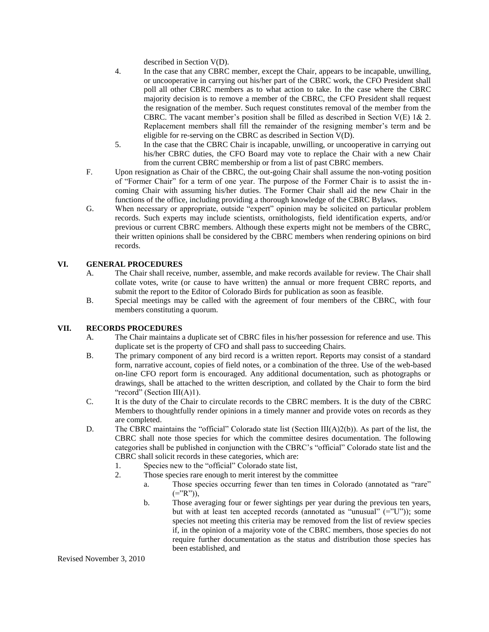described in Section V(D).

- 4. In the case that any CBRC member, except the Chair, appears to be incapable, unwilling, or uncooperative in carrying out his/her part of the CBRC work, the CFO President shall poll all other CBRC members as to what action to take. In the case where the CBRC majority decision is to remove a member of the CBRC, the CFO President shall request the resignation of the member. Such request constitutes removal of the member from the CBRC. The vacant member's position shall be filled as described in Section V(E) 1& 2. Replacement members shall fill the remainder of the resigning member's term and be eligible for re-serving on the CBRC as described in Section V(D).
- 5. In the case that the CBRC Chair is incapable, unwilling, or uncooperative in carrying out his/her CBRC duties, the CFO Board may vote to replace the Chair with a new Chair from the current CBRC membership or from a list of past CBRC members.
- F. Upon resignation as Chair of the CBRC, the out-going Chair shall assume the non-voting position of "Former Chair" for a term of one year. The purpose of the Former Chair is to assist the incoming Chair with assuming his/her duties. The Former Chair shall aid the new Chair in the functions of the office, including providing a thorough knowledge of the CBRC Bylaws.
- G. When necessary or appropriate, outside "expert" opinion may be solicited on particular problem records. Such experts may include scientists, ornithologists, field identification experts, and/or previous or current CBRC members. Although these experts might not be members of the CBRC, their written opinions shall be considered by the CBRC members when rendering opinions on bird records.

# **VI. GENERAL PROCEDURES**

- A. The Chair shall receive, number, assemble, and make records available for review. The Chair shall collate votes, write (or cause to have written) the annual or more frequent CBRC reports, and submit the report to the Editor of Colorado Birds for publication as soon as feasible.
- B. Special meetings may be called with the agreement of four members of the CBRC, with four members constituting a quorum.

### **VII. RECORDS PROCEDURES**

- A. The Chair maintains a duplicate set of CBRC files in his/her possession for reference and use. This duplicate set is the property of CFO and shall pass to succeeding Chairs.
- B. The primary component of any bird record is a written report. Reports may consist of a standard form, narrative account, copies of field notes, or a combination of the three. Use of the web-based on-line CFO report form is encouraged. Any additional documentation, such as photographs or drawings, shall be attached to the written description, and collated by the Chair to form the bird "record" (Section III(A)1).
- C. It is the duty of the Chair to circulate records to the CBRC members. It is the duty of the CBRC Members to thoughtfully render opinions in a timely manner and provide votes on records as they are completed.
- D. The CBRC maintains the "official" Colorado state list (Section III(A)2(b)). As part of the list, the CBRC shall note those species for which the committee desires documentation. The following categories shall be published in conjunction with the CBRC's "official" Colorado state list and the CBRC shall solicit records in these categories, which are:
	- 1. Species new to the "official" Colorado state list,
	- 2. Those species rare enough to merit interest by the committee
		- a. Those species occurring fewer than ten times in Colorado (annotated as "rare"  $(=$ "R")),
		- b. Those averaging four or fewer sightings per year during the previous ten years, but with at least ten accepted records (annotated as "unusual"  $(=$ "U")); some species not meeting this criteria may be removed from the list of review species if, in the opinion of a majority vote of the CBRC members, those species do not require further documentation as the status and distribution those species has been established, and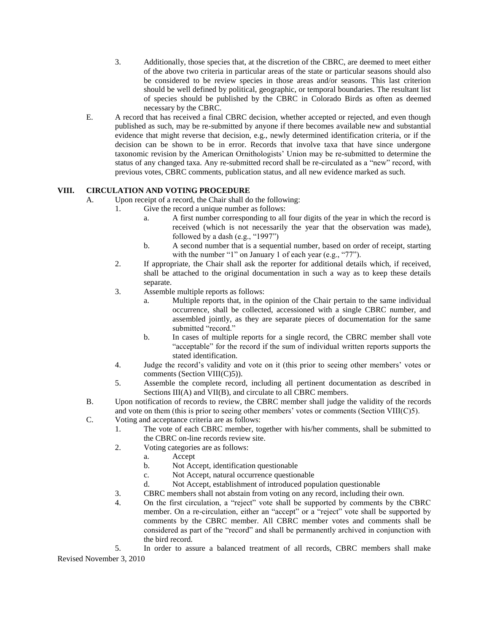- 3. Additionally, those species that, at the discretion of the CBRC, are deemed to meet either of the above two criteria in particular areas of the state or particular seasons should also be considered to be review species in those areas and/or seasons. This last criterion should be well defined by political, geographic, or temporal boundaries. The resultant list of species should be published by the CBRC in Colorado Birds as often as deemed necessary by the CBRC.
- E. A record that has received a final CBRC decision, whether accepted or rejected, and even though published as such, may be re-submitted by anyone if there becomes available new and substantial evidence that might reverse that decision, e.g., newly determined identification criteria, or if the decision can be shown to be in error. Records that involve taxa that have since undergone taxonomic revision by the American Ornithologists' Union may be re-submitted to determine the status of any changed taxa. Any re-submitted record shall be re-circulated as a "new" record, with previous votes, CBRC comments, publication status, and all new evidence marked as such.

# **VIII. CIRCULATION AND VOTING PROCEDURE**

- A. Upon receipt of a record, the Chair shall do the following:
	- 1. Give the record a unique number as follows:
		- a. A first number corresponding to all four digits of the year in which the record is received (which is not necessarily the year that the observation was made), followed by a dash (e.g., "1997")
		- b. A second number that is a sequential number, based on order of receipt, starting with the number "1" on January 1 of each year (e.g., "77").
	- 2. If appropriate, the Chair shall ask the reporter for additional details which, if received, shall be attached to the original documentation in such a way as to keep these details separate.
	- 3. Assemble multiple reports as follows:
		- a. Multiple reports that, in the opinion of the Chair pertain to the same individual occurrence, shall be collected, accessioned with a single CBRC number, and assembled jointly, as they are separate pieces of documentation for the same submitted "record."
		- b. In cases of multiple reports for a single record, the CBRC member shall vote "acceptable" for the record if the sum of individual written reports supports the stated identification.
	- 4. Judge the record's validity and vote on it (this prior to seeing other members' votes or comments (Section VIII(C)5)).
	- 5. Assemble the complete record, including all pertinent documentation as described in Sections III(A) and VII(B), and circulate to all CBRC members.
- B. Upon notification of records to review, the CBRC member shall judge the validity of the records and vote on them (this is prior to seeing other members' votes or comments (Section VIII(C)5).
- C. Voting and acceptance criteria are as follows:
	- 1. The vote of each CBRC member, together with his/her comments, shall be submitted to the CBRC on-line records review site.
		- 2. Voting categories are as follows:
			- a. Accept
				- b. Not Accept, identification questionable
				- c. Not Accept, natural occurrence questionable
				- d. Not Accept, establishment of introduced population questionable
		- 3. CBRC members shall not abstain from voting on any record, including their own.
		- 4. On the first circulation, a "reject" vote shall be supported by comments by the CBRC member. On a re-circulation, either an "accept" or a "reject" vote shall be supported by comments by the CBRC member. All CBRC member votes and comments shall be considered as part of the "record" and shall be permanently archived in conjunction with the bird record.

Revised November 3, 2010 5. In order to assure a balanced treatment of all records, CBRC members shall make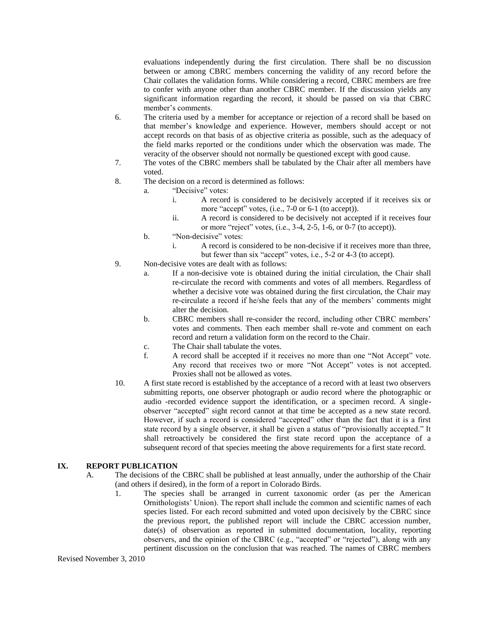evaluations independently during the first circulation. There shall be no discussion between or among CBRC members concerning the validity of any record before the Chair collates the validation forms. While considering a record, CBRC members are free to confer with anyone other than another CBRC member. If the discussion yields any significant information regarding the record, it should be passed on via that CBRC member's comments.

- 6. The criteria used by a member for acceptance or rejection of a record shall be based on that member's knowledge and experience. However, members should accept or not accept records on that basis of as objective criteria as possible, such as the adequacy of the field marks reported or the conditions under which the observation was made. The veracity of the observer should not normally be questioned except with good cause.
- 7. The votes of the CBRC members shall be tabulated by the Chair after all members have voted.
- 8. The decision on a record is determined as follows:
	- a. "Decisive" votes:
		- i. A record is considered to be decisively accepted if it receives six or more "accept" votes, (i.e., 7-0 or 6-1 (to accept)).
		- ii. A record is considered to be decisively not accepted if it receives four or more "reject" votes,  $(i.e., 3-4, 2-5, 1-6, or 0-7$  (to accept)).
		- b. "Non-decisive" votes:
			- i. A record is considered to be non-decisive if it receives more than three, but fewer than six "accept" votes, i.e., 5-2 or 4-3 (to accept).
- 9. Non-decisive votes are dealt with as follows:
	- a. If a non-decisive vote is obtained during the initial circulation, the Chair shall re-circulate the record with comments and votes of all members. Regardless of whether a decisive vote was obtained during the first circulation, the Chair may re-circulate a record if he/she feels that any of the members' comments might alter the decision.
	- b. CBRC members shall re-consider the record, including other CBRC members' votes and comments. Then each member shall re-vote and comment on each record and return a validation form on the record to the Chair.
	- c. The Chair shall tabulate the votes.
	- f. A record shall be accepted if it receives no more than one "Not Accept" vote. Any record that receives two or more "Not Accept" votes is not accepted. Proxies shall not be allowed as votes.
- 10. A first state record is established by the acceptance of a record with at least two observers submitting reports, one observer photograph or audio record where the photographic or audio -recorded evidence support the identification, or a specimen record. A singleobserver "accepted" sight record cannot at that time be accepted as a new state record. However, if such a record is considered "accepted" other than the fact that it is a first state record by a single observer, it shall be given a status of "provisionally accepted." It shall retroactively be considered the first state record upon the acceptance of a subsequent record of that species meeting the above requirements for a first state record.

### **IX. REPORT PUBLICATION**

- A. The decisions of the CBRC shall be published at least annually, under the authorship of the Chair (and others if desired), in the form of a report in Colorado Birds.
	- 1. The species shall be arranged in current taxonomic order (as per the American Ornithologists' Union). The report shall include the common and scientific names of each species listed. For each record submitted and voted upon decisively by the CBRC since the previous report, the published report will include the CBRC accession number, date(s) of observation as reported in submitted documentation, locality, reporting observers, and the opinion of the CBRC (e.g., "accepted" or "rejected"), along with any pertinent discussion on the conclusion that was reached. The names of CBRC members

Revised November 3, 2010